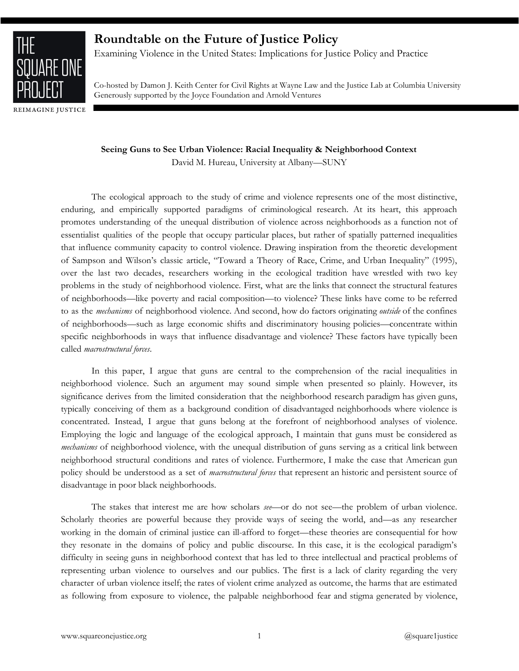

REIMAGINE JUSTICE

# **Roundtable on the Future of Justice Policy**

Examining Violence in the United States: Implications for Justice Policy and Practice

Co-hosted by Damon J. Keith Center for Civil Rights at Wayne Law and the Justice Lab at Columbia University Generously supported by the Joyce Foundation and Arnold Ventures

**Seeing Guns to See Urban Violence: Racial Inequality & Neighborhood Context** 

David M. Hureau, University at Albany—SUNY

The ecological approach to the study of crime and violence represents one of the most distinctive, enduring, and empirically supported paradigms of criminological research. At its heart, this approach promotes understanding of the unequal distribution of violence across neighborhoods as a function not of essentialist qualities of the people that occupy particular places, but rather of spatially patterned inequalities that influence community capacity to control violence. Drawing inspiration from the theoretic development of Sampson and Wilson's classic article, "Toward a Theory of Race, Crime, and Urban Inequality" (1995), over the last two decades, researchers working in the ecological tradition have wrestled with two key problems in the study of neighborhood violence. First, what are the links that connect the structural features of neighborhoods—like poverty and racial composition—to violence? These links have come to be referred to as the *mechanisms* of neighborhood violence. And second, how do factors originating *outside* of the confines of neighborhoods—such as large economic shifts and discriminatory housing policies—concentrate within specific neighborhoods in ways that influence disadvantage and violence? These factors have typically been called *macrostructural forces*.

In this paper, I argue that guns are central to the comprehension of the racial inequalities in neighborhood violence. Such an argument may sound simple when presented so plainly. However, its significance derives from the limited consideration that the neighborhood research paradigm has given guns, typically conceiving of them as a background condition of disadvantaged neighborhoods where violence is concentrated. Instead, I argue that guns belong at the forefront of neighborhood analyses of violence. Employing the logic and language of the ecological approach, I maintain that guns must be considered as *mechanisms* of neighborhood violence, with the unequal distribution of guns serving as a critical link between neighborhood structural conditions and rates of violence. Furthermore, I make the case that American gun policy should be understood as a set of *macrostructural forces* that represent an historic and persistent source of disadvantage in poor black neighborhoods.

The stakes that interest me are how scholars *see*—or do not see—the problem of urban violence. Scholarly theories are powerful because they provide ways of seeing the world, and—as any researcher working in the domain of criminal justice can ill-afford to forget—these theories are consequential for how they resonate in the domains of policy and public discourse. In this case, it is the ecological paradigm's difficulty in seeing guns in neighborhood context that has led to three intellectual and practical problems of representing urban violence to ourselves and our publics. The first is a lack of clarity regarding the very character of urban violence itself; the rates of violent crime analyzed as outcome, the harms that are estimated as following from exposure to violence, the palpable neighborhood fear and stigma generated by violence,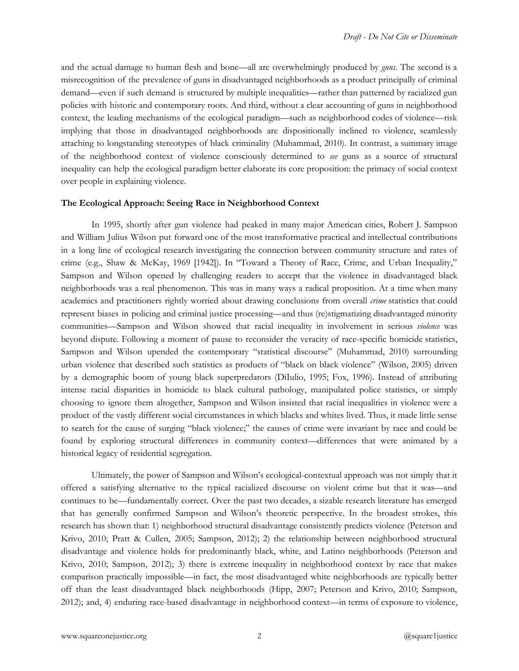and the actual damage to human flesh and bone—all are overwhelmingly produced by *guns*. The second is a misrecognition of the prevalence of guns in disadvantaged neighborhoods as a product principally of criminal demand—even if such demand is structured by multiple inequalities—rather than patterned by racialized gun policies with historic and contemporary roots. And third, without a clear accounting of guns in neighborhood context, the leading mechanisms of the ecological paradigm—such as neighborhood codes of violence—risk implying that those in disadvantaged neighborhoods are dispositionally inclined to violence, seamlessly attaching to longstanding stereotypes of black criminalit y (Muhammad, 2010). In contrast, a summary image of the neighborhood context of violence consciously determined to see guns as a source of structural inequality can help the ecological paradigm better elaborate its core proposition: the primacy of social context over people in explaining violence.

#### **The Ecological Approach: Seeing Race in Neighborhood Context**

In 1995, shortly after gun violence had peaked in many major American cities, Robert J. Sampson and William Julius Wilson put forward one of the most transformative practical and intellectual contributions in a long line of ecological research investigating the connection between community structure and rates of crime (e.g., Shaw & McKay, 1969 [1942]). In "Toward a Theory of Race, Crime, and Urban Inequality," Sampson and Wilson opened by challenging readers to accept that the violence in disadvantaged black neighborhoods was a real phenomenon. This was in many ways a radical proposition. At a time when many academics and practitioners rightly worried about drawing conclusions from overall *crime* statistics that could represent biases in policing and criminal justice processing—and thus (re)stigmatizing disadvantaged minority communities—Sampson and Wilson showed that racial inequality in involvement in serious *violence* was beyond dispute. Following a moment of pause to reconsider the veracity of race-specific homicide statistics, Sampson and Wilson upended the contemporary "statistical discourse" (Muhammad, 2010) surrounding urban violence that described such statistics as products of "black on black violence" (Wilson, 2005) driven by a demographic boom of young black superpredators (DiIulio, 1995; Fox, 1996). Instead of attributing intense racial disparities in homicide to black cultural pathology, manipulated police statistics, or simply choosing to ignore them altogether, Sampson and Wilson insisted that racial inequalities in violence were a product of the vastly different social circumstances in which blacks and whites lived. Thus, it made little sense to search for the cause of surging "black violence;" the causes of crime were invariant by race and could be found by exploring structural differences in community context—differences that were animated by a historical legacy of residential segregation.

Ultimately, the power of Sampson and Wilson's ecological-contextual approach was not simply that it offered a satisfying alternative to the typical racialized discourse on violent crime but that it was—and continues to be—fundamentally correct. Over the past two decades, a sizable research literature has emerged that has generally confirmed Sampson and Wilson's theoretic perspective. In the broadest strokes, this research has shown that: 1) neighborhood structural disadvantage consistently predicts violence (Peterson and Krivo, 2010; Pratt & Cullen, 2005; Sampson, 2012); 2) the relationship between neighborhood structural disadvantage and violence holds for predominantly black, white, and Latino neighborhoods (Peterson and Krivo,  $2010$ ; Sampson,  $2012$ ); 3) there is extreme inequality in neighborhood context by race that makes comparison practically impossible—in fact, the most disadvantaged white neighborhoods are typically better off than the least disadvantaged black neighborhoods (Hipp, 2007; Peterson and Krivo, 2010; Sampson, 2012); and, 4) enduring race-based disadvantage in neighborhood context—in terms of exposure to violence,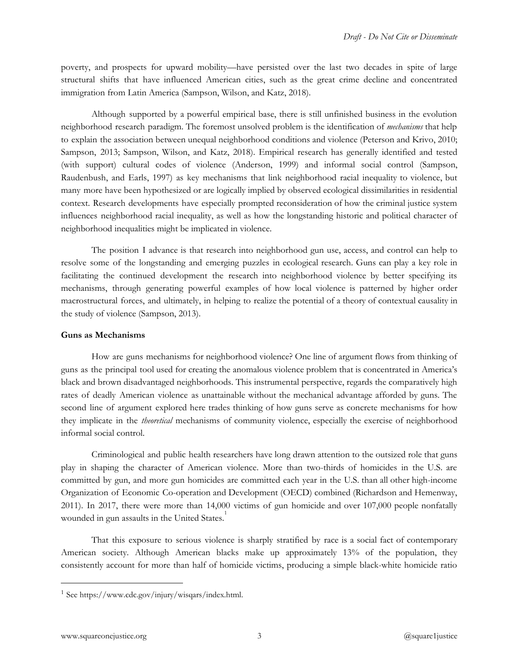poverty, and prospects for upward mobility—have persisted over the last two decades in spite of large structural shifts that have influenced American cities, such as the great crime decline and concentrated immigration from Latin America (Sampson, Wilson, and Katz, 2018).

Although supported by a powerful empirical base, there is still unfinished business in the evolution neighborhood research paradigm. The foremost unsolved problem is the identification of *mechanisms* that help to explain the association between unequal neighborhood conditions and violence (Peterson and Krivo, 2010; Sampson, 2013; Sampson, Wilson, and Katz, 2018). Empirical research has generally identified and tested (with support) cultural codes of violence (Anderson, 1999) and informal social control (Sampson, Raudenbush, and Earls, 1997) as key mechanisms that link neighborhood racial inequality to violence, but many more have been hypothesized or are logically implied by observed ecological dissimilarities in residential context. Research developments have especially prompted reconsideration of how the criminal justice system influences neighborhood racial inequality, as well as how the longstanding historic and political character of neighborhood inequalities might be implicated in violence.

The position I advance is that research into neighborhood gun use, access, and control can help to resolve some of the longstanding and emerging puzzles in ecological research. Guns can play a key role in facilitating the continued development the research into neighborhood violence by better specifying its mechanisms, through generating powerful examples of how local violence is patterned by higher order macrostructural forces, and ultimately, in helping to realize the potential of a theory of contextual causality in the study of violence (Sampson, 2013).

## **Guns as Mechanisms**

How are guns mechanisms for neighborhood violence? One line of argument flows from thinking of guns as the principal tool used for creating the anomalous violence problem that is concentrated in America's black and brown disadvantaged neighborhoods. This instrumental perspective, regards the comparatively high rates of deadly American violence as unattainable without the mechanical advantage afforded by guns. The second line of argument explored here trades thinking of how guns serve as concrete mechanisms for how they implicate in the *theoretical* mechanisms of community violence, especially the exercise of neighborhood informal social control.

Criminological and public health researchers have long drawn attention to the outsized role that guns play in shaping the character of American violence. More than two-thirds of homicides in the U.S. are committed by gun, and more gun homicides are committed each year in the U.S. than all other high-income Organization of Economic Co-operation and Development (OECD ) combined (Richardson and Hemenway, 2011). In 2017, there were more than  $14,000$  victims of gun homicide and over  $107,000$  people nonfatally wounded in gun assaults in the United States.<sup>1</sup>

That this exposure to serious violence is sharply stratified by race is a social fact of contemporary American society. Although American blacks make up approximately 13% of the population, they consistently account for more than half of homicide victims, producing a simple black-white homicide ratio

<sup>1</sup> See https://www.cdc.gov/injury/wisqars/index.html.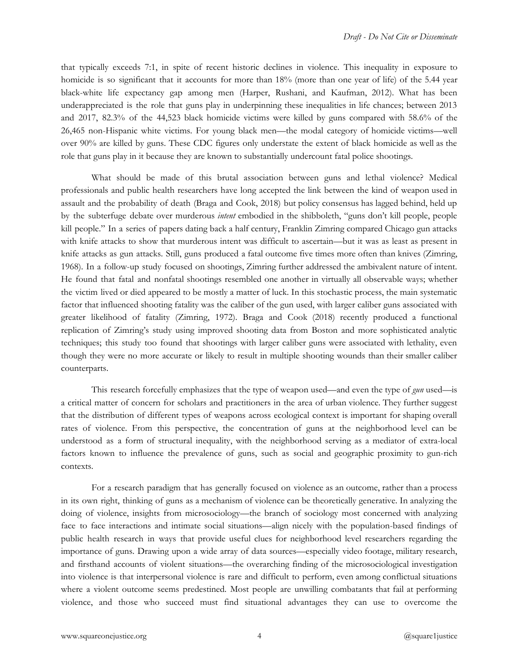that typically exceeds 7:1, in spite of recent historic declines in violence. This inequality in exposure to homicide is so significant that it accounts for more than 18% (more than one year of life) of the 5.44 year black-white life expectancy gap among men (Harper, Rushani, and Kaufman, 2012). What has been underappreciated is the role that guns play in underpinning these inequalities in life chances; between 2013 and 2017, 82.3% of the 44,523 black homicide victims were killed by guns compared with 58.6% of the 26,465 non-Hispanic white victims. For young black men—the modal category of homicide victims—well over 90% are killed by guns. These CDC figures only understate the extent of black homicide as well as the role that guns play in it because they are known to substantially undercount fatal police shootings.

What should be made of this brutal association between guns and lethal violence? Medical professionals and public health researchers have long accepted the link between the kind of weapon used in assault and the probability of death (Braga and Cook, 2018) but policy consensus has lagged behind, held up by the subterfuge debate over murderous *intent* embodied in the shibboleth, "guns don't kill people, people kill people." In a series of papers dating back a half century, Franklin Zimring compared Chicago gun attacks with knife attacks to show that murderous intent was difficult to ascertain—but it was as least as present in knife attacks as gun attacks. Still, guns produced a fatal outcome five times more often than knives (Zimring, 1968). In a follow-up study focused on shootings, Zimring further addressed the ambivalent nature of intent. He found that fatal and nonfatal shootings resembled one another in virtually all observable ways; whether the victim lived or died appeared to be mostly a matter of luck . In this stochastic process, the main systematic factor that influenced shooting fatality was the caliber of the gun used, with larger caliber guns associated with greater likelihood of fatality (Zimring, 1972). Braga and Cook (2018) recently produced a functional replication of Zimring's study using improved shooting data from Boston and more sophisticated analytic techniques; this study too found that shootings with larger caliber guns were associated with lethality, even though they were no more accurate or likely to result in multiple shooting wounds than their smaller caliber counterparts.

This research forcefully emphasizes that the type of weapon used—and even the type of *gun* used—is a critical matter of concern for scholars and practitioners in the area of urban violence. They further suggest that the distribution of different types of weapons across e cological context is important for shaping overall rates of violence. From this perspective, the concentration of guns at the neighborhood level can be understood as a form of structural inequality, with the neighborhood serving as a mediator of extra-local factors known to influence the prevalence of guns, such as social and geographic proximity to gun-rich contexts.

For a research paradigm that has generally focused on violence as an outcome, rather than a process in its own right, thinking of guns as a mechanism of violence can be theoretically generative. In analyzing the doing of violence, insights from microsociology—the branch of sociology most concerned with analyzing face to face interactions and intimate social situations—align nicely with the population-based findings of public health research in ways that provide useful clues for neighborhood level researchers regarding the importance of guns. Drawing upon a wide array of data sources —especially video footage, military research, and firsthand accounts of violent situations—the overarching finding of the microsociological investigation into violence is that interpersonal violence is rare and difficult to perform, even among conflictual situations where a violent outcome seems predestined. Most people are unwilling combatants that fail at performing violence, and those who succeed must find situational advantages they can use to overcome the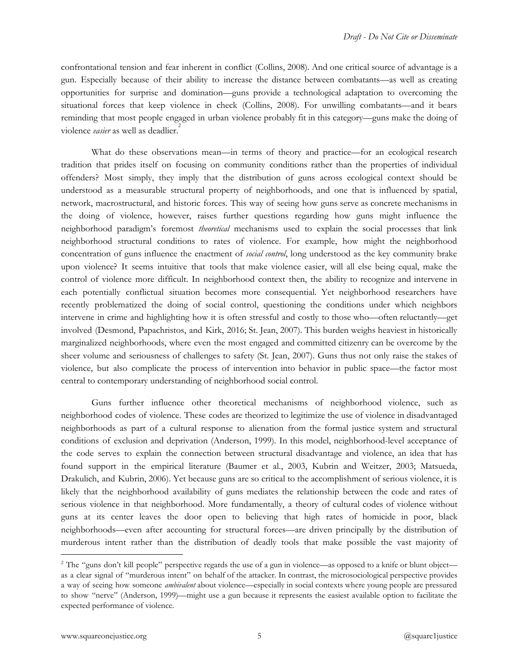confrontational tension and fear inherent in conflict (Collins, 2008). And one critical source of advantage is a gun. Especially because of their ability to increase the distance between combatants—as well as creating opportunities for surprise and domination—guns provide a technological adaptation to overcoming the situational forces that keep violence in check (Collins, 2008). For unwilling combatants—and it bears reminding that most people engaged in urban violence probably fit in this category—guns make the doing of violence *easier* as well as deadlier.<sup>2</sup>

What do these observations mean—in terms of theory and practice—for an ecological research tradition that prides itself on focusing on community conditions rather than the properties of individual offenders? Most simply, they imply that the distribution of guns across ecological context should be understood as a measurable structural property of neighborhoods, and one that is influenced by spatial, network, macrostructural, and historic forces. This way of seeing how guns serve as concrete mechanisms in the doing of violence, however, raises further questions regarding how guns might influence the neighborhood paradigm's foremost *theoretical* mechanisms used to explain the social processes that link neighborhood structural conditions to rates of violence. For example, how might the neighborhood concentration of guns influence the enactment of *social control*, long understood as the key community brake upon violence? It seems intuitive that tools that make violence easier, will all else being equal, make the control of violence more difficult. In neighborhood context then, the ability to recognize and intervene in each potentially conflictual situation becomes more consequential. Yet neighborhood researchers have recently problematized the doing of social control, questioning the conditions under which neighbors intervene in crime and highlighting how it is often stressful and costly to those who—often reluctantly—get involved (Desmond, Papachristos, and Kirk, 2016; St. Jean, 2007). This burden weighs heaviest in historically marginalized neighborhoods, where even the most engaged and committed citizenry can be overcome by the sheer volume and seriousness of challenges to safety (St. Jean, 2007). Guns thus not only raise the stakes of violence, but also complicate the process of intervention into behavior in public space—the factor most central to contemporary understanding of neighborhood social control.

Guns further influence other theoretical mechanisms of neighborhood violence, such as neighborhood codes of violence. These codes are theorized to legitimize the use of violence in disadvantaged neighborhoods as part of a cultural response to alienation from the formal justice system and structural conditions of exclusion and deprivation (Anderson, 1999). In this model, neighborhood-level acceptance of the code serves to explain the connection between structural disadvantage and violence, an idea that has found support in the empirical literature (Baumer et al., 2003, Kubrin and Weitzer, 2003; Matsueda, Drakulich, and Kubrin, 2006). Yet because guns are so critical to the accomplishment of serious violence, it is likely that the neighborhood availability of guns mediates the relationship between the code and rates of serious violence in that neighborhood. More fundamentally, a theory of cultural codes of violence without guns at its center leaves the door open to believing that high rates of homicide in poor, black neighborhoods—even after accounting for structural forces—are driven principally by the distribution of murderous intent rather than the distribution of deadly tools that make possible the vast majority of

<sup>&</sup>lt;sup>2</sup> The "guns don't kill people" perspective regards the use of a gun in violence—as opposed to a knife or blunt object as a clear signal of "murderous intent" on behalf of the attacker. In contrast, the microsociological perspective provides a way of seeing how someone *ambivalent* about violence—especially in social contexts where young people are pressured to show "nerve" (Anderson, 1999)—might use a gun because it represents the easiest available option to facilitate the expected performance of violence.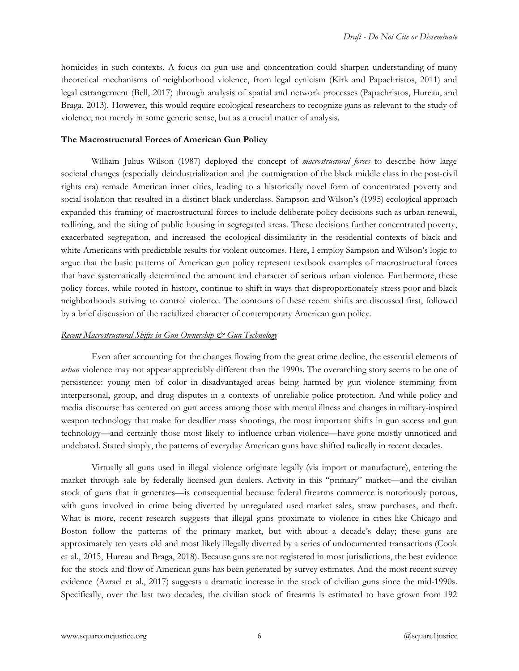homicides in such contexts. A focus on gun use and concentration could sharpen understanding of many theoretical mechanisms of neighborhood violence, from legal cynicism (Kirk and Papachristos, 2011) and legal estrangement (Bell, 2017) through analysis of spatial and network processes (Papachristos, Hureau, and Braga, 2013). However, this would require ecological researchers to recognize guns as relevant to the study of violence, not merely in some generic sense, but as a crucial matter of analysis.

# **The Macrostructural Forces of American Gun Policy**

William Julius Wilson (1987) deployed the concept of *macrostructural forces* to describe how large societal changes (especially deindustrialization and the outmigration of the black middle class in the post-civil rights era) remade American inner cities, leading to a historically novel form of concentrated poverty and social isolation that resulted in a distinct black underclass. Sampson and Wilson's (1995) ecological approach expanded this framing of macrostructural forces to include deliberate policy decisions such as urban renewal, redlining, and the siting of public housing in segregated areas. These decisions further concentrated poverty, exacerbated segregation, and increased the ecological dissimilarity in the residential contexts of black and white Americans with predictable results for violent outcomes. Here, I employ Sampson and Wilson's logic to argue that the basic patterns of American gun policy represent textbook examples of macrostructural forces that have systematically determined the amount and character of serious urban violence. Furthermore, these policy forces, while rooted in history, continue to shift in ways that disproportionately stress poor and black neighborhoods striving to control violence. The contours of these recent shifts are discussed first, followed by a brief discussion of the racialized character of contemporary American gun policy.

# *Recent Macrostructural Shifts in Gun Ownership & Gun Technology*

Even after accounting for the changes flowing from the great crime decline, the essential elements of *urban* violence may not appear appreciably different than the 1990s. The overarching story seems to be one of persistence: young men of color in disadvantaged areas being harmed by gun violence stemming from interpersonal, group, and drug disputes in a contexts of unreliable police protection. And while policy and media discourse has centered on gun access among those with mental illness and changes in military-inspired weapon technology that make for deadlier mass shootings, the most important shifts in gun access and gun technology—and certainly those most likely to influence urban violence—have gone mostly unnoticed and undebated. Stated simply, the patterns of everyday American guns have shifted radically in recent decades.

Virtually all guns used in illegal violence originate legally (via import or manufacture), entering the market through sale by federally licensed gun dealers. Activity in this "primary" market—and the civilian stock of guns that it generates—is consequential because federal firearms commerce is notoriously porous, with guns involved in crime being diverted by unregulated used market sales, straw purchases, and theft. What is more, recent research suggests that illegal guns proximate to violence in cities like Chicago and Boston follow the patterns of the primary market, but with about a decade's delay; these guns are approximately ten years old and most likely illegally diverted by a series of undocumented transactions (Cook et al., 2015, Hureau and Braga, 2018). Because guns are not registered in most jurisdictions, the best evidence for the stock and flow of American guns has been generated by survey estimates. And the most recent survey evidence (Azrael et al., 2017) suggests a dramatic increase in the stock of civilian guns since the mid-1990s. Specifically, over the last two decades, the civilian stock of firearms is estimated to have grown from 192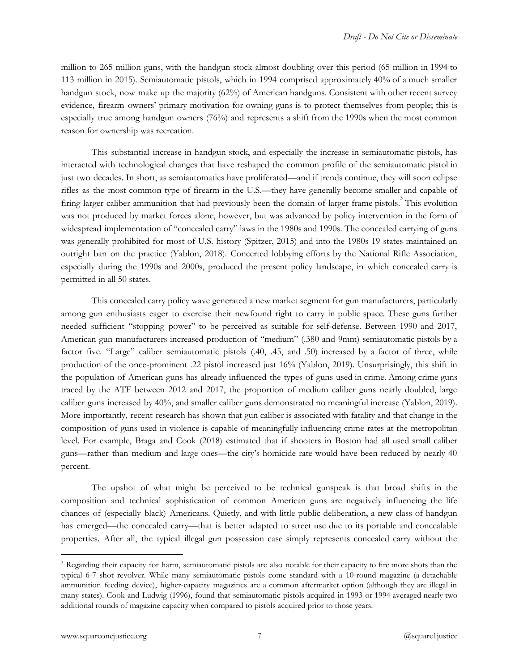million to 265 million guns, with the handgun stock almost doubling over this period (65 million in 1994 to 113 million in 2015). Semiautomatic pistols, which in 1994 comprised approximately  $40\%$  of a much smaller handgun stock, now make up the majority  $(62%)$  of American handguns. Consistent with other recent survey evidence, firearm owners' primary motivation for owning guns is to protect themselves from people; this is especially true among handgun owners (76%) and represents a shift from the 1990s when the most common reason for ownership was recreation.

This substantial increase in handgun stock, and especially the increase in semiautomatic pistols, has interacted with technological changes that have reshaped the common profile of the semiautomatic pistol in just two decades. In short, as semiautomatics have proliferated—and if trends continue, they will soon eclipse rifles as the most common type of firearm in the U.S.—they have generally become smaller and capable of firing larger caliber ammunition that had previously been the domain of larger frame pistols.<sup>3</sup> This evolution was not produced by market forces alone, however, but was advanced by policy intervention in the form of widespread implementation of "concealed carry" laws in the 1980s and 1990s. The concealed carrying of guns was generally prohibited for most of U.S. history (Spitzer, 2015) and into the 1980s 19 states maintained an outright ban on the practice (Yablon, 2018). Concerted lobbying efforts by the National Rifle Association, especially during the 1990s and 2000s, produced the present policy landscape, in which concealed carry is permitted in all 50 states.

This concealed carry policy wave generated a new market segment for gun manufacturers, particularly among gun enthusiasts eager to exercise their newfound right to carry in public space. These guns further needed sufficient "stopping power" to be perceived as suitable for self-defense. Between 1990 and 2017, American gun manufacturers increased production of "medium" (.380 and 9mm) semiautomatic pistols by a factor five. "Large" caliber semiautomatic pistols (.40, .45, and .50) increased by a factor of three, while production of the once-prominent .22 pistol increased just 16% (Yablon, 2019). Unsurprisingly, this shift in the population of American guns has already influenced the types of guns used in crime. Among crime guns traced by the ATF between 2012 and 2017, the proportion of medium caliber guns nearly doubled, large caliber guns increased by 40%, and smaller caliber guns demonstrated no meaningful increase (Yablon, 2019). More importantly, recent research has shown that gun caliber is associated with fatality and that change in the composition of guns used in violence is capable of meaningfully influencing crime rates at the metropolitan level. For example, Braga and Cook (2018) estimated that if shooters in Boston had all used small caliber guns—rather than medium and large ones—the city's homicide rate would have been reduced by nearly 40 percent.

The upshot of what might be perceived to be technical gunspeak is that broad shifts in the composition and technical sophistication of common American guns are negatively influencing the life chances of (especially black) Americans. Quietly, and with little public deliberation, a new class of handgun has emerged—the concealed carry—that is better adapted to street use due to its portable and concealable properties. After all, the typical illegal gun possession case simply represents concealed carry without the

<sup>&</sup>lt;sup>3</sup> Regarding their capacity for harm, semiautomatic pistols are also notable for their capacity to fire more shots than the typical 6-7 shot revolver. While many semiautomatic pistols come standard with a 10-round magazine (a detachable ammunition feeding device), higher-capacity magazines are a common aftermarket option (although they are illegal in many states). Cook and Ludwig (1996), found that semiautomatic pistols acquired in 1993 or 1994 averaged nearly two additional rounds of magazine capacity when compared to pistols acquired prior to those years.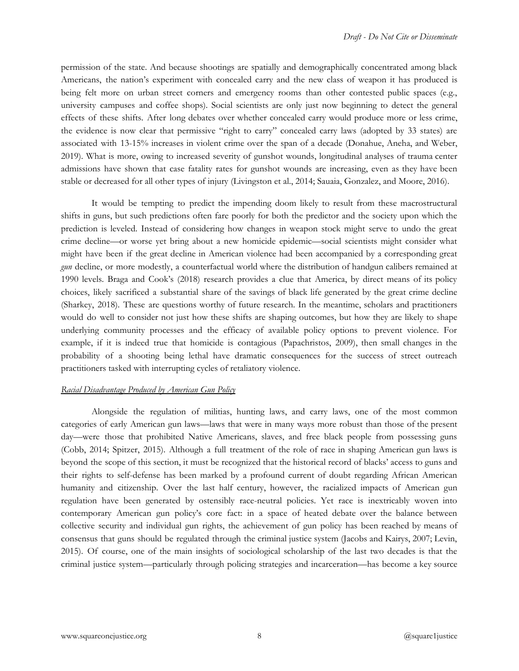permission of the state. And because shootings are spatially and demographically concentrated among black Americans, the nation's experiment with concealed carry and the new class of weapon it has produced is being felt more on urban street corners and emergency rooms than other contested public spaces (e.g., university campuses and coffee shops). Social scientists are only just now beginning to detect the general effects of these shifts. After long debates over whether concealed carry would produce more or less crime, the evidence is now clear that permissive "right to carry" concealed carry laws (adopted by 33 states) are associated with 13-15% increases in violent crime over the span of a decade (Donahue, Aneha, and Weber, 2019). What is more, owing to increased severity of gunshot wounds, longitudinal analyses of trauma center admissions have shown that case fatality rates for gunshot wounds are increasing, even as they have been stable or decreased for all other types of injury (Livingston et al., 2014; Sauaia, Gonzalez, and Moore, 2016).

It would be tempting to predict the impending doom likely to result from these macrostructural shifts in guns, but such predictions often fare poorly for both the predictor and the society upon which the prediction is leveled. Instead of considering how changes in weapon stock might serve to undo the great crime decline—or worse yet bring about a new homicide epidemic—social scientists might consider what might have been if the great decline in American violence had been accompanied by a corresponding great gun decline, or more modestly, a counterfactual world where the distribution of handgun calibers remained at 1990 levels. Braga and Cook's (2018) research provides a clue that America, by direct means of its policy choices, likely sacrificed a substantial share of the savings of black life generated by the great crime decline (Sharkey, 2018). These are questions worthy of future research. In the meantime, scholars and practitioners would do well to consider not just how these shifts are shaping outcomes, but how they are likely to shape underlying community processes and the efficacy of available policy options to prevent violence. For example, if it is indeed true that homicide is contagious (Papachristos, 2009), then small changes in the probability of a shooting being lethal have dramatic consequences for the success of street outreach practitioners tasked with interrupting cycles of retaliatory violence.

### *Racial Disadvantage Produced by American Gun Policy*

Alongside the regulation of militias, hunting laws, and carry laws, one of the most common categories of early American gun laws—laws that were in many ways more robust than those of the present day—were those that prohibited Native Americans, slaves, and free black people from possessing guns (Cobb, 2014; Spitzer, 2015). Although a full treatment of the role of race in shaping American gun laws is beyond the scope of this section, it must be recognized that the historical record of blacks' access to guns and their rights to self-defense has been marked by a profound current of doubt regarding African American humanity and citizenship. Over the last half century, however, the racialized impacts of American gun regulation have been generated by ostensibly race-neutral policies. Yet race is inextricably woven into contemporary American gun policy's core fact: in a space of heated debate over the balance between collective security and individual gun rights, the achievement of gun policy has been reached by means of consensus that guns should be regulated through the criminal justice system (Jacobs and Kairys, 2007; Levin, 2015). Of course, one of the main insights of sociological scholarship of the last two decades is that the criminal justice system—particularly through policing strategies and incarceration—has become a key source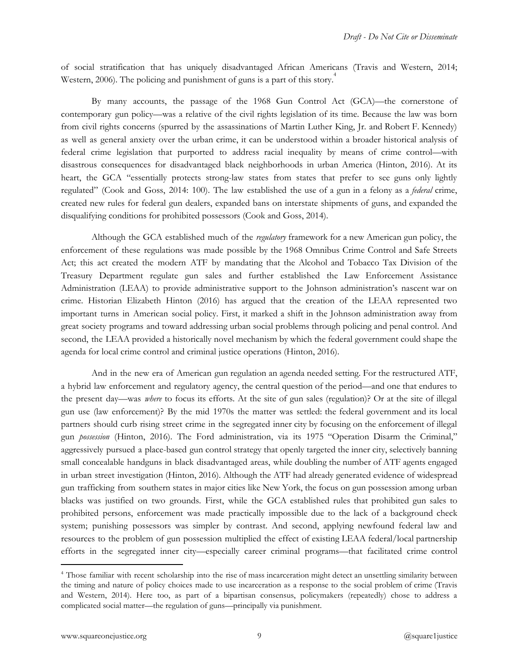of social stratification that has uniquely disadvantaged A frican Americans (Travis and Western, 2014; Western, 2006). The policing and punishment of guns is a part of this story.<sup>4</sup>

By many accounts, the passage of the 1968 Gun Control Act (GCA)—the cornerstone of contemporary gun policy—was a relative of the civil rights legislation of its time. Because the law was born from civil rights concerns (spurred by the assassinations of Martin Luther King, Jr. and Robert F. Kennedy) as well as general anxiety over the urban crime, it can be understood within a broader historical analysis of federal crime legislation that purported to address racial inequality by means of crime control—with disastrous consequences for disadvantaged black neighborhoods in urban America (Hinton, 2016). At its heart, the GCA "essentially protects strong-law states from states that prefer to see guns only lightly regulated" (Cook and Goss, 2014: 100). The law established the use of a gun in a felony as a *federal* crime, created new rules for federal gun dealers, expanded bans on interstate shipments of guns, and expanded the disqualifying conditions for prohibited possessors (Cook and Goss, 2014).

Although the GCA established much of the *regulatory* framework for a new American gun policy, the enforcement of these regulations was made possible by the 1968 Omnibus Crime Control and Safe Streets Act; this act created the modern ATF by mandating that the Alcohol and Tobacco Tax Division of the Treasury Department regulate gun sales and further established the Law Enforcement Assistance Administration (LEAA) to provide administrative support to the Johnson administration's nascent war on crime. Historian Elizabeth Hinton (2016) has argued that the creation of the LEAA represented two important turns in American social policy. First, it marked a s hift in the Johnson administration away from great society programs and toward addressing urban social problems through policing and penal control. And second, the LEAA provided a historically novel mechanism by which the federal government could shape the agenda for local crime control and criminal justice operations (Hinton, 2016).

And in the new era of American gun regulation an agenda needed setting. For the restructured ATF, a hybrid law enforcement and regulatory agency, the central question of the period—and one that endures to the present day—was *where* to focus its efforts. At the site of gun sales (regulation)? Or at the site of illegal gun use (law enforcement)? By the mid 1970s the matter was settled: the federal government and its local partners should curb rising street crime in the segregated inner city by focusing on the enforcement of illegal gun *possession* (Hinton, 2016). The Ford administration, via its 1975 "Operation Disarm the Criminal," aggressively pursued a place-based gun control strategy that openly targeted the inner city, selectively banning small concealable handguns in black disadvantaged areas, while doubling the number of ATF agents engaged in urban street investigation (Hinton, 2016). Although the ATF had already generated evidence of widespread gun trafficking from southern states in major cities like New York, the focus on gun possession among urban blacks was justified on two grounds. First, while the GCA established rules that prohibited gun sales to prohibited persons, enforcement was made practically impossible due to the lack of a background check system; punishing possessors was simpler by contrast. And second, applying newfound federal law and resources to the problem of gun possession multiplied the effect of existing LEAA federal/local partnership efforts in the segregated inner city—especially career criminal programs—that facilitated crime control

<sup>&</sup>lt;sup>4</sup> Those familiar with recent scholarship into the rise of mass incarceration might detect an unsettling similarity between the timing and nature of policy choices made to use incarceration as a response to the social problem of crime (Travis and Western, 2014). Here too, as part of a bipartisan consensus, policymakers (repeatedly) chose to address a complicated social matter—the regulation of guns—principally via punishment.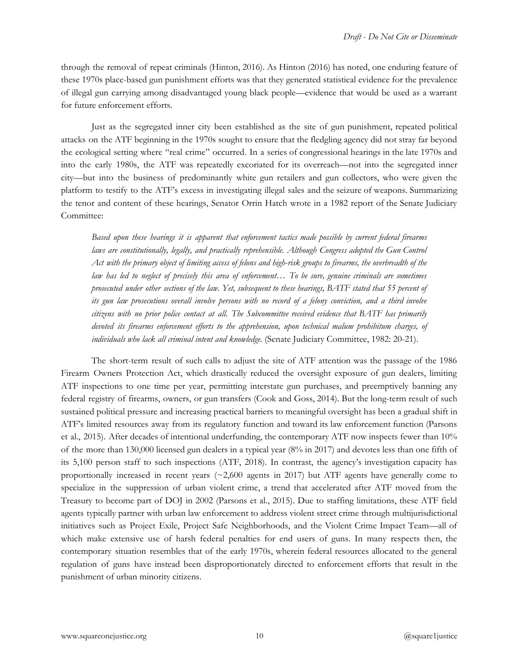through the removal of repeat criminals (Hinton, 2016). As Hinton (2016) has noted, one enduring feature of these 1970s place-based gun punishment efforts was that they generated statistical evidence for the prevalence of illegal gun carrying among disadvantaged young black people—evidence that would be used as a warrant for future enforcement efforts.

Just as the segregated inner city been established as the site of gun punishment, repeated political attacks on the ATF beginning in the 1970s sought to ensure that the fledgling agency did not stray far beyond the ecological setting where "real crime" occurred. In a series of congressional hearings in the late 1970s and into the early 1980s, the ATF was repeatedly excoriated for its overreach—not into the segregated inner city—but into the business of predominantly white gun retailers and gun collectors, who were given the platform to testify to the ATF's excess in investigating illegal sales and the seizure of weapons. Summarizing the tenor and content of these hearings, Senator Orrin Hatch wrote in a 1982 report of the Senate Judiciary Committee:

*Based upon these hearings it is apparent that enforcement ta ctics made possible by current federal firearms* laws are constitutionally, legally, and practically reprehensible. Although Congress adopted the Gun Control Act with the primary object of limiting access of felons and high-risk groups to firearms, the overbreadth of the *law has led to neglect of precisely this area of enforcement… To be sure, genuine criminals are sometimes prosecuted under other sections of the law. Yet, subsequent to these hearings, BATF stated that 55 percent of its gun law prosecutions overall involve persons with no record of a felony conviction, and a third involve* citizens with no prior police contact at all. The Subcommittee received evidence that BATF has primarily *devoted its firearms enforcement efforts to the apprehensio n, upon technical malum prohibitum charges, of individuals who lack all criminal intent and knowledge.* (Senate Judiciary Committee, 1982: 20-21).

The short-term result of such calls to adjust the site of ATF attention was the passage of the 1986 Firearm Owners Protection Act, which drastically reduced the oversight exposure of gun dealers, limiting ATF inspections to one time per year, permitting interstate gun purchases, and preemptively banning any federal registry of firearms, owners, or gun transfers (Cook and Goss, 2014). But the long-term result of such sustained political pressure and increasing practical barriers to meaningful oversight has been a gradual shift in ATF's limited resources away from its regulatory function and toward its law enforcement function (Parsons et al., 2015). After decades of intentional underfunding, the contemporary ATF now inspects fewer than 10% of the more than 130,000 licensed gun dealers in a typical year  $(8\%$  in 2017) and devotes less than one fifth of its  $5,100$  person staff to such inspections (ATF, 2018). In contrast, the agency's investigation capacity has proportionally increased in recent years  $(\sim 2,600$  agents in 2017) but ATF agents have generally come to specialize in the suppression of urban violent crime, a trend that accelerated after ATF moved from the Treasury to become part of DOJ in 2002 (Parsons et al., 2015). Due to staffing limitations, these ATF field agents typically partner with urban law enforcement to address violent street crime through multijurisdictional initiatives such as Project Exile, Project Safe Neighborhoods, and the Violent Crime Impact Team—all of which make extensive use of harsh federal penalties for end users of guns. In many respects then, the contemporary situation resembles that of the early 1970s, wherein federal resources allocated to the general regulation of guns have instead been disproportionately directed to enforcement efforts that result in the punishment of urban minority citizens.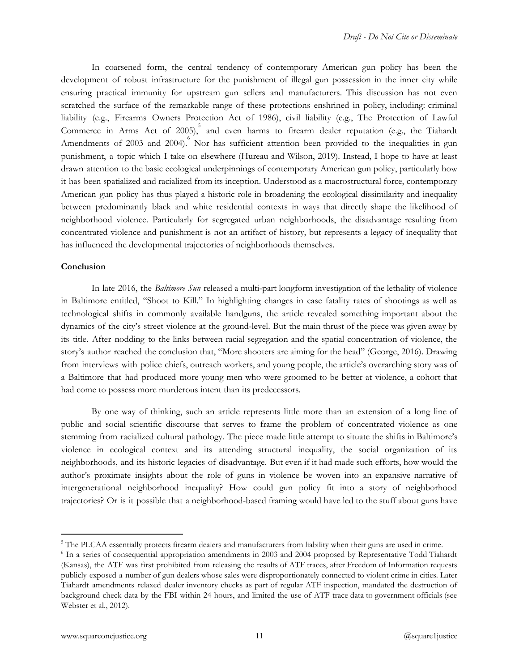In coarsened form, the central tendency of contemporary American gun policy has been the development of robust infrastructure for the punishment of illegal gun possession in the inner city while ensuring practical immunity for upstream gun sellers and manufacturers. This discussion has not even scratched the surface of the remarkable range of these protections enshrined in policy, including: criminal liability (e.g., Firearms Owners Protection Act of 1986), civil liability (e.g., The Protection of Lawful Commerce in Arms Act of 2005), and even harms to firearm dealer reputation (e.g., the Tiahardt Amendments of 2003 and 2004). Nor has sufficient attention been provided to the inequalities in gun punishment, a topic which I take on elsewhere (Hureau and Wilson, 2019). Instead, I hope to have at least drawn attention to the basic ecological underpinnings of contemporary American gun policy, particularly how it has been spatialized and racialized from its inception. Understood as a macrostructural force, contemporary American gun policy has thus played a historic role in broadening the ecological dissimilarity and inequality between predominantly black and white residential contexts in ways that directly shape the likelihood of neighborhood violence. Particularly for segregated urban neighborhoods, the disadvantage resulting from concentrated violence and punishment is not an artifact of history, but represents a legacy of inequality that has influenced the developmental trajectories of neighborhoods themselves.

## **Conclusion**

In late 2016, the *Baltimore Sun* released a multi-part longform investigation of the lethality of violence in Baltimore entitled, "Shoot to Kill." In highlighting changes in case fatality rates of shootings as well as technological shifts in commonly available handguns, the article revealed something important about the dynamics of the city's street violence at the ground-level. But the main thrust of the piece was given away by its title. After nodding to the links between racial segregation and the spatial concentration of violence, the story's author reached the conclusion that, "More shooters are aiming for the head" (George, 2016). Drawing from interviews with police chiefs, outreach workers, and young people, the article's overarching story was of a Baltimore that had produced more young men who were groomed to be better at violence, a cohort that had come to possess more murderous intent than its predecessors.

By one way of thinking, such an article represents little more than an extension of a long line of public and social scientific discourse that serves to frame the problem of concentrated violence as one stemming from racialized cultural pathology. The piece made little attempt to situate the shifts in Baltimore's violence in ecological context and its attending structural inequality, the social organization of its neighborhoods, and its historic legacies of disadvantage. But even if it had made such efforts, how would the author's proximate insights about the role of guns in violence be woven into an expansive narrative of intergenerational neighborhood inequality? How could gun policy fit into a story of neighborhood trajectories? Or is it possible that a neighborhood-based framing would have led to the stuff about guns have

<sup>&</sup>lt;sup>5</sup> The PLCAA essentially protects firearm dealers and manufacturers from liability when their guns are used in crime.

<sup>&</sup>lt;sup>6</sup> In a series of consequential appropriation amendments in 2003 and 2004 proposed by Representative Todd Tiahardt (Kansas), the ATF was first prohibited from releasing the results of ATF traces, after Freedom of Information requests publicly exposed a number of gun dealers whose sales were disproportionately connected to violent crime in cities. Later Tiahardt amendments relaxed dealer inventory checks as part of regular ATF inspection, mandated the destruction of background check data by the FBI within 24 hours, and limited the use of ATF trace data to government officials (see Webster et al., 2012).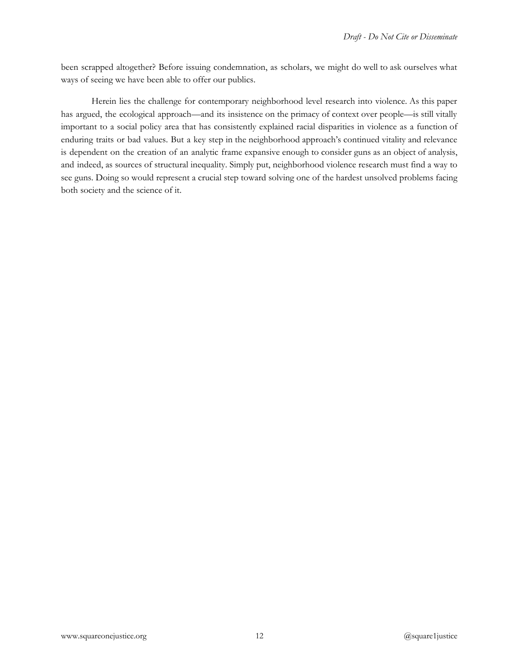been scrapped altogether? Before issuing condemnation, as scholars, we might do well to ask ourselves what ways of seeing we have been able to offer our publics.

Herein lies the challenge for contemporary neighborhood level research into violence. As this paper has argued, the ecological approach—and its insistence on the primacy of context over people—is still vitally important to a social policy area that has consistently explained racial disparities in violence as a function of enduring traits or bad values. But a key step in the neighborhood approach's continued vitality and relevance is dependent on the creation of an analytic frame expansive enough to consider guns as an object of analysis, and indeed, as sources of structural inequality. Simply put, neighborhood violence research must find a way to see guns. Doing so would represent a crucial step toward solving one of the hardest unsolved problems facing both society and the science of it.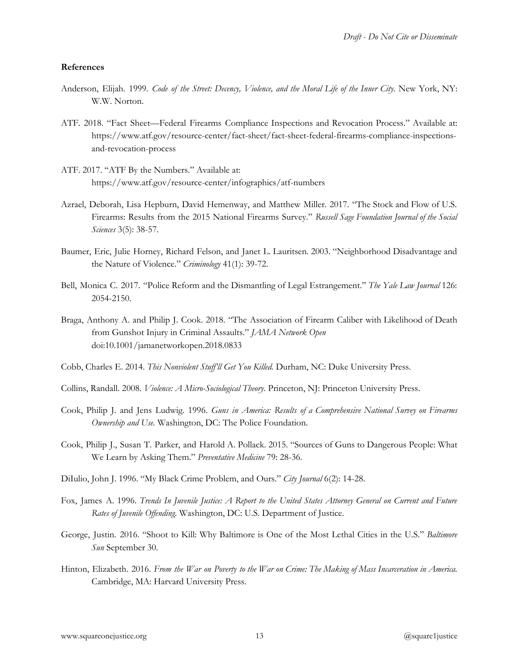#### **References**

- Anderson, Elijah. 1999. Code of the Street: Decency, Violence, and the Moral Life of the Inner City. New York, NY: W.W. Norton.
- ATF. 2018. "Fact Sheet—Federal Firearms Compliance Inspections and Revocation Process." Available at: https://www.atf.gov/resource-center/fact-sheet/fact-sheet-federal-firearms-compliance-inspectionsand-revocation-process
- ATF. 2017. "ATF By the Numbers." Available at: https://www.atf.gov/resource-center/infographics/atf-numbers
- Azrael, Deborah, Lisa Hepburn, David Hemenway, and Matthew Miller. 2017. "The Stock and Flow of U.S. Firearms: Results from the 2015 National Firearms Survey." *Russell Sage Foundation Journal of the Social Sciences* 3(5): 38-57.
- Baumer, Eric, Julie Horney, Richard Felson, and Janet L. Lauritsen. 2003. "Neighborhood Disadvantage and the Nature of Violence." *Criminology* 41(1): 39-72.
- Bell, Monica C. 2017. "Police Reform and the Dismantling of Legal Estrangement." *The Yale Law Journal* 126: 2054-2150.
- Braga, Anthony A. and Philip J. Cook. 2018. "The Association of Firearm Caliber with Likelihood of Death from Gunshot Injury in Criminal Assaults." *JAMA Network Open*  doi:10.1001/jamanetworkopen.2018.0833
- Cobb, Charles E. 2014. *This Nonviolent Stuff'll Get You Killed.* Durham, NC: Duke University Press.
- Collins, Randall. 2008. *Violence: A Micro-Sociological Theory*. Princeton, NJ: Princeton University Press.
- Cook, Philip J. and Jens Ludwig. 1996. Guns in America: Results of a Comprehensive National Survey on Firearms *Ownership and Use.* Washington, DC: The Police Foundation.
- Cook, Philip J., Susan T. Parker, and Harold A. Pollack. 2015. "Sources of Guns to Dangerous People: What We Learn by Asking Them." *Preventative Medicine* 79: 28-36.
- DiIulio, John J. 1996. "My Black Crime Problem, and Ours." *City Journal* 6(2): 14-28.
- Fox, James A. 1996. Trends In Juvenile Justice: A Report to the United States Attorney General on Current and Future *Rates of Juvenile Offending.* Washington, DC: U.S. Department of Justice.
- George, Justin. 2016. "Shoot to Kill: Why Baltimore is One of the Most Lethal Cities in the U.S." *Baltimore Sun* September 30.
- Hinton, Elizabeth. 2016. *From the War on Poverty to the War on Crime: The Making of Mass Inc arceration in America.* Cambridge, MA: Harvard University Press.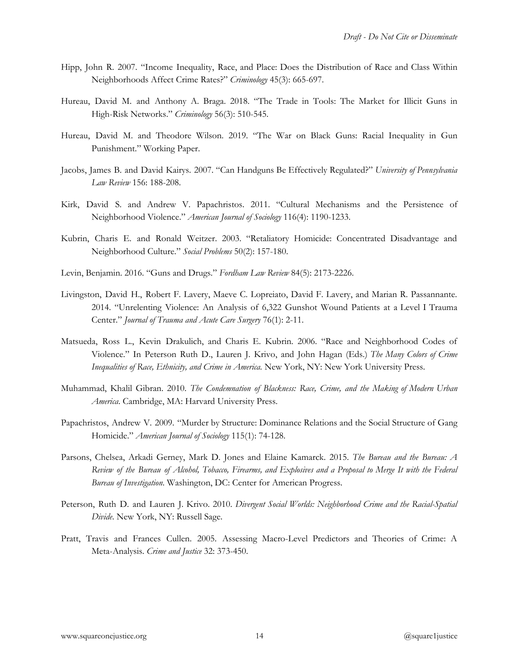- Hipp, John R. 2007. "Income Inequality, Race, and Place: Does the Distribution of Race and Class Within Neighborhoods Affect Crime Rates?" *Criminology* 45(3): 665-697.
- Hureau, David M. and Anthony A. Braga. 2018. "The Trade in Tools: The Market for Illicit Guns in High-Risk Networks." *Criminology* 56(3): 510-545.
- Hureau, David M. and Theodore Wilson. 2019. "The War on Black Guns: Racial Inequality in Gun Punishment." Working Paper.
- Jacobs, James B. and David Kairys. 2007. "Can Handguns Be Effectively Regulated?" *University of Pennsylvania Law Review* 156: 188-208.
- Kirk, David S. and Andrew V. Papachristos. 2011. "Cultural Mechanisms and the Persistence of Neighborhood Violence." *American Journal of Sociology* 116(4): 1190-1233.
- Kubrin, Charis E. and Ronald Weitzer. 2003. "Retaliatory Homicide: Concentrated Disadvantage and Neighborhood Culture." *Social Problems* 50(2): 157-180.
- Levin, Benjamin. 2016. "Guns and Drugs." *Fordham Law Review* 84(5): 2173-2226.
- Livingston, David H., Robert F. Lavery, Maeve C. Lopreiato, David F. Lavery, and Marian R. Passannante. 2014. "Unrelenting Violence: An Analysis of 6,322 Gunshot Wound Patients at a Level I Trauma Center." *Journal of Trauma and Acute Care Surgery* 76(1): 2-11.
- Matsueda, Ross L., Kevin Drakulich, and Charis E. Kubrin. 2006. "Race and Neighborhood Codes of Violence." In Peterson Ruth D., Lauren J. Krivo, and John Hagan (Eds.) *The Many Colors of Crime Inequalities of Race, Ethnicity, and Crime in America.* New York, NY: New York University Press.
- Muhammad, Khalil Gibran. 2010. *The Condemnation of Blackness: Race, Crime, and the Making of Modern Urban America*. Cambridge, MA: Harvard University Press.
- Papachristos, Andrew V. 2009. "Murder by Structure: Dominance Relations and the Social Structure of Gang Homicide." *American Journal of Sociology* 115(1): 74-128.
- Parsons, Chelsea, Arkadi Gerney, Mark D. Jones and Elaine Kamarck. 2015. *The Bureau and the Bureau: A* Review of the Bureau of Alcohol, Tobacco, Firearms, and Explosives and a Proposal to Merge It with the Federal *Bureau of Investigation*. Washington, DC: Center for American Progress.
- Peterson, Ruth D. and Lauren J. Krivo. 2010. *Divergent Social Worlds: Neighborhood Crime and the Racial-Spatial Divide*. New York, NY: Russell Sage.
- Pratt, Travis and Frances Cullen. 2005. Assessing Macro-Level Predictors and Theories of Crime: A Meta-Analysis. *Crime and Justice* 32: 373-450.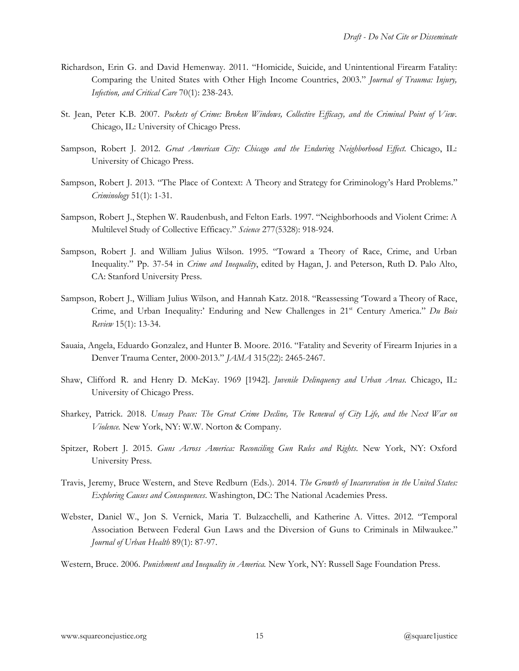- Richardson, Erin G. and David Hemenway. 2011. "Homicide, Suicide, and Unintentional Firearm Fatality: Comparing the United States with Other High Income Countries, 2003." *Journal of Trauma: Injury, Infection, and Critical Care* 70(1): 238-243.
- St. Jean, Peter K.B. 2007. *Pockets of Crime: Broken Windows, Collective Efficacy, and th e Criminal Point of View*. Chicago, IL: University of Chicago Press.
- Sampson, Robert J. 2012. Great American City: Chicago and the Enduring Neighborhood Effect. Chicago, IL: University of Chicago Press.
- Sampson, Robert J. 2013. "The Place of Context: A Theory and Strategy for Criminology's Hard Problems." *Criminology* 51(1): 1-31.
- Sampson, Robert J., Stephen W. Raudenbush, and Felton Earls. 1997. "Neighborhoods and Violent Crime: A Multilevel Study of Collective Efficacy." *Science* 277(5328): 918-924.
- Sampson, Robert J. and William Julius Wilson. 1995. "Toward a Theory of Race, Crime, and Urban Inequality." Pp. 37-54 in *Crime and Inequality*  , edited by Hagan, J. and Peterson, Ruth D. Palo Alto, CA: Stanford University Press.
- Sampson, Robert J., William Julius Wilson, and Hannah Katz. 2018. "Reassessing 'Toward a Theory of Race, Crime, and Urban Inequality:' Enduring and New Challenges in 21<sup>st</sup> Century America." Du Bois *Review* 15(1): 13-34.
- Sauaia, Angela, Eduardo Gonzalez, and Hunter B. Moore. 2016. "Fatality and Severity of Firearm Injuries in a Denver Trauma Center, 2000-2013." *JAMA* 315(22): 2465-2467.
- Shaw, Clifford R. and Henry D. McKay. 1969 [1942]. *Juvenile Delinquency and Urban Areas.*  Chicago, IL: University of Chicago Press.
- Sharkey, Patrick. 2018. Uneasy Peace: The Great Crime Decline, The Renewal of City Life, and the Next War on *Violence.* New York, NY: W.W. Norton & Company.
- Spitzer, Robert J. 2015. *Guns Across America: Reconciling Gun Rules and Rights*  . New York, NY: Oxford University Press.
- Travis, Jeremy, Bruce Western, and Steve Redburn (Eds.). 2014. The Growth of Incarceration in the United States: *Exploring Causes and Consequences*. Washington, DC: The National Academies Press.
- Webster, Daniel W., Jon S. Vernick, Maria T. Bulzacchelli, and Katherine A. Vittes. 2012. "Temporal Association Between Federal Gun Laws and the Diversion of Guns to Criminals in Milwaukee." *Journal of Urban Health* 89(1): 87-97.

Western, Bruce. 2006. *Punishment and Inequality in America.* New York, NY: Russell Sage Foundation Press.